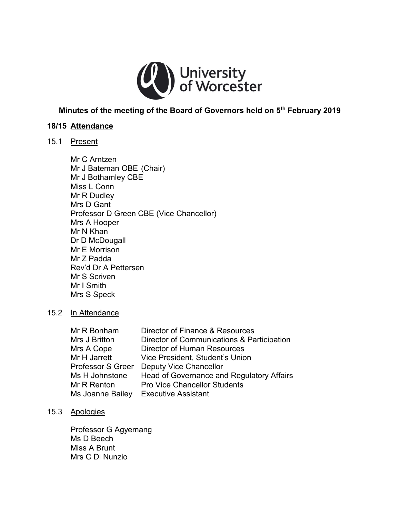

# **Minutes of the meeting of the Board of Governors held on 5th February 2019**

### **18/15 Attendance**

# 15.1 Present

Mr C Arntzen Mr J Bateman OBE (Chair) Mr J Bothamley CBE Miss L Conn Mr R Dudley Mrs D Gant Professor D Green CBE (Vice Chancellor) Mrs A Hooper Mr N Khan Dr D McDougall Mr E Morrison Mr Z Padda Rev'd Dr A Pettersen Mr S Scriven Mr I Smith Mrs S Speck

#### 15.2 In Attendance

| Mr R Bonham       | Director of Finance & Resources            |
|-------------------|--------------------------------------------|
| Mrs J Britton     | Director of Communications & Participation |
| Mrs A Cope        | <b>Director of Human Resources</b>         |
| Mr H Jarrett      | Vice President, Student's Union            |
| Professor S Greer | <b>Deputy Vice Chancellor</b>              |
| Ms H Johnstone    | Head of Governance and Regulatory Affairs  |
| Mr R Renton       | <b>Pro Vice Chancellor Students</b>        |
| Ms Joanne Bailey  | <b>Executive Assistant</b>                 |

### 15.3 Apologies

Professor G Agyemang Ms D Beech Miss A Brunt Mrs C Di Nunzio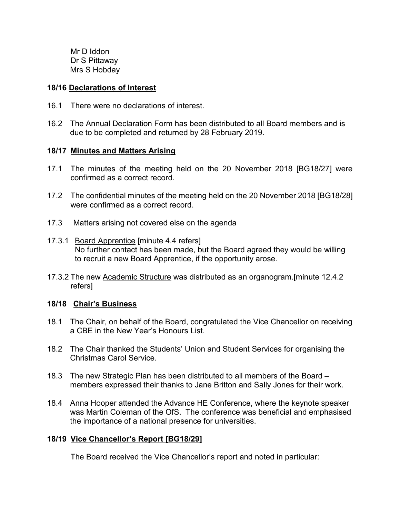Mr D Iddon Dr S Pittaway Mrs S Hobday

#### **18/16 Declarations of Interest**

- 16.1 There were no declarations of interest.
- 16.2 The Annual Declaration Form has been distributed to all Board members and is due to be completed and returned by 28 February 2019.

# **18/17 Minutes and Matters Arising**

- 17.1 The minutes of the meeting held on the 20 November 2018 [BG18/27] were confirmed as a correct record.
- 17.2 The confidential minutes of the meeting held on the 20 November 2018 [BG18/28] were confirmed as a correct record.
- 17.3 Matters arising not covered else on the agenda
- 17.3.1 Board Apprentice [minute 4.4 refers] No further contact has been made, but the Board agreed they would be willing to recruit a new Board Apprentice, if the opportunity arose.
- 17.3.2 The new Academic Structure was distributed as an organogram.[minute 12.4.2 refers]

#### **18/18 Chair's Business**

- 18.1 The Chair, on behalf of the Board, congratulated the Vice Chancellor on receiving a CBE in the New Year's Honours List.
- 18.2 The Chair thanked the Students' Union and Student Services for organising the Christmas Carol Service.
- 18.3 The new Strategic Plan has been distributed to all members of the Board members expressed their thanks to Jane Britton and Sally Jones for their work.
- 18.4 Anna Hooper attended the Advance HE Conference, where the keynote speaker was Martin Coleman of the OfS. The conference was beneficial and emphasised the importance of a national presence for universities.

# **18/19 Vice Chancellor's Report [BG18/29]**

The Board received the Vice Chancellor's report and noted in particular: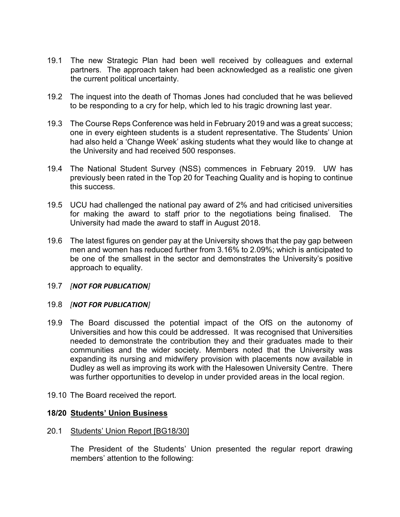- 19.1 The new Strategic Plan had been well received by colleagues and external partners. The approach taken had been acknowledged as a realistic one given the current political uncertainty.
- 19.2 The inquest into the death of Thomas Jones had concluded that he was believed to be responding to a cry for help, which led to his tragic drowning last year.
- 19.3 The Course Reps Conference was held in February 2019 and was a great success; one in every eighteen students is a student representative. The Students' Union had also held a 'Change Week' asking students what they would like to change at the University and had received 500 responses.
- 19.4 The National Student Survey (NSS) commences in February 2019. UW has previously been rated in the Top 20 for Teaching Quality and is hoping to continue this success.
- 19.5 UCU had challenged the national pay award of 2% and had criticised universities for making the award to staff prior to the negotiations being finalised. The University had made the award to staff in August 2018.
- 19.6 The latest figures on gender pay at the University shows that the pay gap between men and women has reduced further from 3.16% to 2.09%; which is anticipated to be one of the smallest in the sector and demonstrates the University's positive approach to equality.

#### 19.7 *[NOT FOR PUBLICATION]*

#### 19.8 *[NOT FOR PUBLICATION]*

- 19.9 The Board discussed the potential impact of the OfS on the autonomy of Universities and how this could be addressed. It was recognised that Universities needed to demonstrate the contribution they and their graduates made to their communities and the wider society. Members noted that the University was expanding its nursing and midwifery provision with placements now available in Dudley as well as improving its work with the Halesowen University Centre. There was further opportunities to develop in under provided areas in the local region.
- 19.10 The Board received the report.

# **18/20 Students' Union Business**

#### 20.1 Students' Union Report [BG18/30]

The President of the Students' Union presented the regular report drawing members' attention to the following: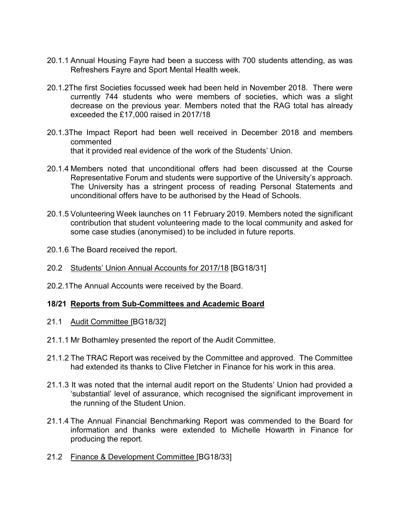- 20.1.1 Annual Housing Fayre had been a success with 700 students attending, as was Refreshers Fayre and Sport Mental Health week.
- 20.1.2The first Societies focussed week had been held in November 2018. There were currently 744 students who were members of societies, which was a slight decrease on the previous year. Members noted that the RAG total has already exceeded the £17,000 raised in 2017/18
- 20.1.3The Impact Report had been well received in December 2018 and members commented that it provided real evidence of the work of the Students' Union.
- 20.1.4 Members noted that unconditional offers had been discussed at the Course Representative Forum and students were supportive of the University's approach. The University has a stringent process of reading Personal Statements and unconditional offers have to be authorised by the Head of Schools.
- 20.1.5 Volunteering Week launches on 11 February 2019. Members noted the significant contribution that student volunteering made to the local community and asked for some case studies (anonymised) to be included in future reports.
- 20.1.6 The Board received the report.
- 20.2 Students' Union Annual Accounts for 2017/18 [BG18/31]
- 20.2.1The Annual Accounts were received by the Board.

# **18/21 Reports from Sub-Committees and Academic Board**

- 21.1 Audit Committee [BG18/32]
- 21.1.1 Mr Bothamley presented the report of the Audit Committee.
- 21.1.2 The TRAC Report was received by the Committee and approved. The Committee had extended its thanks to Clive Fletcher in Finance for his work in this area.
- 21.1.3 It was noted that the internal audit report on the Students' Union had provided a 'substantial' level of assurance, which recognised the significant improvement in the running of the Student Union.
- 21.1.4 The Annual Financial Benchmarking Report was commended to the Board for information and thanks were extended to Michelle Howarth in Finance for producing the report.
- 21.2 Finance & Development Committee [BG18/33]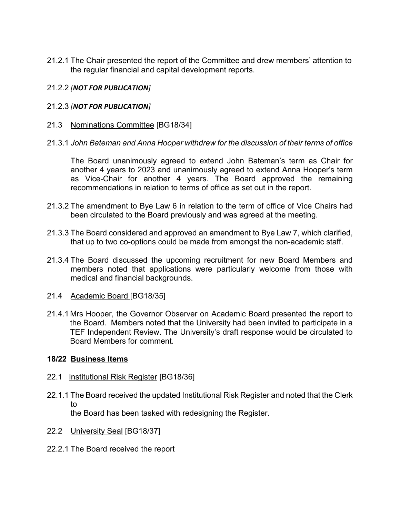21.2.1 The Chair presented the report of the Committee and drew members' attention to the regular financial and capital development reports.

# 21.2.2 *[NOT FOR PUBLICATION]*

- 21.2.3 *[NOT FOR PUBLICATION]*
- 21.3 Nominations Committee [BG18/34]
- 21.3.1 *John Bateman and Anna Hooper withdrew for the discussion of their terms of office*

The Board unanimously agreed to extend John Bateman's term as Chair for another 4 years to 2023 and unanimously agreed to extend Anna Hooper's term as Vice-Chair for another 4 years. The Board approved the remaining recommendations in relation to terms of office as set out in the report.

- 21.3.2 The amendment to Bye Law 6 in relation to the term of office of Vice Chairs had been circulated to the Board previously and was agreed at the meeting.
- 21.3.3 The Board considered and approved an amendment to Bye Law 7, which clarified, that up to two co-options could be made from amongst the non-academic staff.
- 21.3.4 The Board discussed the upcoming recruitment for new Board Members and members noted that applications were particularly welcome from those with medical and financial backgrounds.
- 21.4 Academic Board [BG18/35]
- 21.4.1 Mrs Hooper, the Governor Observer on Academic Board presented the report to the Board. Members noted that the University had been invited to participate in a TEF Independent Review. The University's draft response would be circulated to Board Members for comment.

#### **18/22 Business Items**

- 22.1 Institutional Risk Register [BG18/36]
- 22.1.1 The Board received the updated Institutional Risk Register and noted that the Clerk to the Board has been tasked with redesigning the Register.
- 22.2 University Seal [BG18/37]
- 22.2.1 The Board received the report